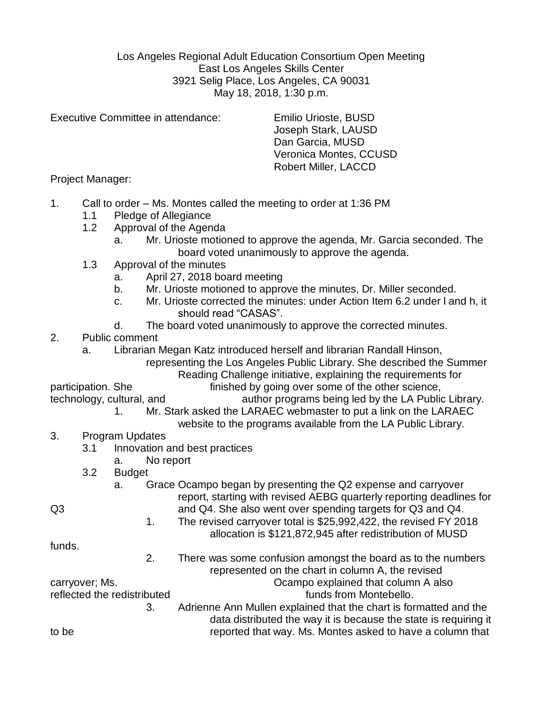Los Angeles Regional Adult Education Consortium Open Meeting East Los Angeles Skills Center 3921 Selig Place, Los Angeles, CA 90031 May 18, 2018, 1:30 p.m.

Executive Committee in attendance: Emilio Urioste, BUSD

Joseph Stark, LAUSD Dan Garcia, MUSD Veronica Montes, CCUSD Robert Miller, LACCD

Project Manager:

- 1. Call to order Ms. Montes called the meeting to order at 1:36 PM
	- 1.1 Pledge of Allegiance
	- 1.2 Approval of the Agenda
		- a. Mr. Urioste motioned to approve the agenda, Mr. Garcia seconded. The board voted unanimously to approve the agenda.
	- 1.3 Approval of the minutes
		- a. April 27, 2018 board meeting
		- b. Mr. Urioste motioned to approve the minutes, Dr. Miller seconded.
		- c. Mr. Urioste corrected the minutes: under Action Item 6.2 under l and h, it should read "CASAS".
		- d. The board voted unanimously to approve the corrected minutes.
- 2. Public comment
	- a. Librarian Megan Katz introduced herself and librarian Randall Hinson,

representing the Los Angeles Public Library. She described the Summer Reading Challenge initiative, explaining the requirements for

participation. She finished by going over some of the other science, technology, cultural, and author programs being led by the LA Public Library.

- 1. Mr. Stark asked the LARAEC webmaster to put a link on the LARAEC
	- website to the programs available from the LA Public Library.
- 3. Program Updates
	- 3.1 Innovation and best practices
		- a. No report
	- 3.2 Budget

a. Grace Ocampo began by presenting the Q2 expense and carryover report, starting with revised AEBG quarterly reporting deadlines for Q3 and Q4. She also went over spending targets for Q3 and Q4.

1. The revised carryover total is \$25,992,422, the revised FY 2018 allocation is \$121,872,945 after redistribution of MUSD

funds.

2. There was some confusion amongst the board as to the numbers represented on the chart in column A, the revised

carryover; Ms. The carryover is a set of the column A also carryover; Ms.

reflected the redistributed in the settlement of the funds from Montebello.

3. Adrienne Ann Mullen explained that the chart is formatted and the data distributed the way it is because the state is requiring it to be reported that way. Ms. Montes asked to have a column that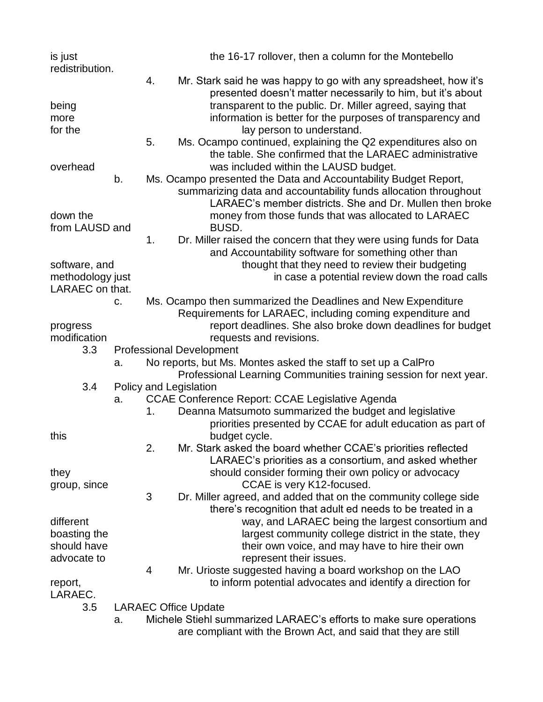| is just          |    |    | the 16-17 rollover, then a column for the Montebello                                                                            |
|------------------|----|----|---------------------------------------------------------------------------------------------------------------------------------|
| redistribution.  |    |    |                                                                                                                                 |
|                  |    | 4. | Mr. Stark said he was happy to go with any spreadsheet, how it's<br>presented doesn't matter necessarily to him, but it's about |
| being            |    |    | transparent to the public. Dr. Miller agreed, saying that                                                                       |
| more             |    |    | information is better for the purposes of transparency and                                                                      |
| for the          |    |    | lay person to understand.                                                                                                       |
|                  |    | 5. | Ms. Ocampo continued, explaining the Q2 expenditures also on                                                                    |
|                  |    |    | the table. She confirmed that the LARAEC administrative                                                                         |
| overhead         |    |    | was included within the LAUSD budget.                                                                                           |
|                  |    |    |                                                                                                                                 |
|                  | b. |    | Ms. Ocampo presented the Data and Accountability Budget Report,                                                                 |
|                  |    |    | summarizing data and accountability funds allocation throughout                                                                 |
|                  |    |    | LARAEC's member districts. She and Dr. Mullen then broke                                                                        |
| down the         |    |    | money from those funds that was allocated to LARAEC                                                                             |
| from LAUSD and   |    |    | <b>BUSD.</b>                                                                                                                    |
|                  |    | 1. | Dr. Miller raised the concern that they were using funds for Data                                                               |
|                  |    |    | and Accountability software for something other than                                                                            |
| software, and    |    |    | thought that they need to review their budgeting                                                                                |
| methodology just |    |    | in case a potential review down the road calls                                                                                  |
| LARAEC on that.  |    |    |                                                                                                                                 |
|                  | C. |    | Ms. Ocampo then summarized the Deadlines and New Expenditure                                                                    |
|                  |    |    | Requirements for LARAEC, including coming expenditure and                                                                       |
| progress         |    |    | report deadlines. She also broke down deadlines for budget                                                                      |
| modification     |    |    | requests and revisions.                                                                                                         |
| 3.3              |    |    | <b>Professional Development</b>                                                                                                 |
|                  | a. |    | No reports, but Ms. Montes asked the staff to set up a CalPro                                                                   |
|                  |    |    | Professional Learning Communities training session for next year.                                                               |
| 3.4              |    |    | Policy and Legislation                                                                                                          |
|                  | а. |    | <b>CCAE Conference Report: CCAE Legislative Agenda</b>                                                                          |
|                  |    | 1. | Deanna Matsumoto summarized the budget and legislative                                                                          |
|                  |    |    | priorities presented by CCAE for adult education as part of                                                                     |
| this             |    |    | budget cycle.                                                                                                                   |
|                  |    | 2  | Mr. Stark asked the board whether CCAE's priorities reflected                                                                   |
|                  |    |    | LARAEC's priorities as a consortium, and asked whether                                                                          |
| they             |    |    | should consider forming their own policy or advocacy                                                                            |
|                  |    |    | CCAE is very K12-focused.                                                                                                       |
| group, since     |    | 3  |                                                                                                                                 |
|                  |    |    | Dr. Miller agreed, and added that on the community college side                                                                 |
|                  |    |    | there's recognition that adult ed needs to be treated in a                                                                      |
| different        |    |    | way, and LARAEC being the largest consortium and                                                                                |
| boasting the     |    |    | largest community college district in the state, they                                                                           |
| should have      |    |    | their own voice, and may have to hire their own                                                                                 |
| advocate to      |    |    | represent their issues.                                                                                                         |
|                  |    | 4  | Mr. Urioste suggested having a board workshop on the LAO                                                                        |
| report,          |    |    | to inform potential advocates and identify a direction for                                                                      |
| LARAEC.          |    |    |                                                                                                                                 |
| 3.5              |    |    | <b>LARAEC Office Update</b>                                                                                                     |
|                  | a. |    | Michele Stiehl summarized LARAEC's efforts to make sure operations                                                              |
|                  |    |    | are compliant with the Brown Act, and said that they are still                                                                  |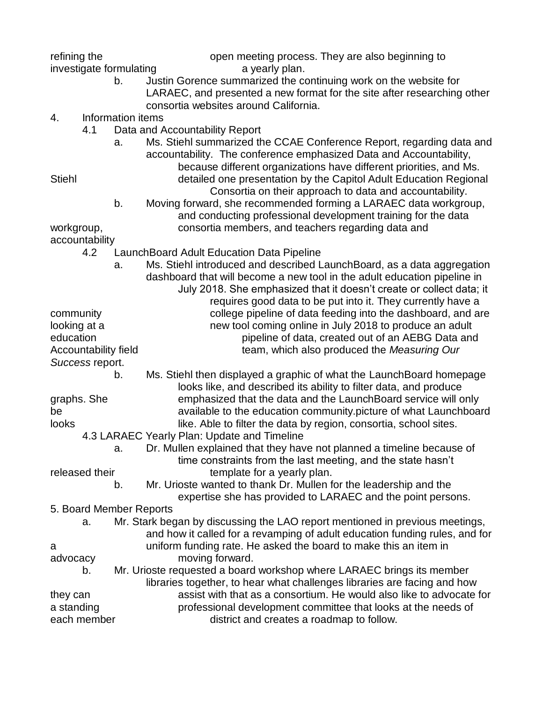| refining the                          | open meeting process. They are also beginning to                                                                                                                                                                                                                                      |
|---------------------------------------|---------------------------------------------------------------------------------------------------------------------------------------------------------------------------------------------------------------------------------------------------------------------------------------|
| investigate formulating<br>b.         | a yearly plan.<br>Justin Gorence summarized the continuing work on the website for<br>LARAEC, and presented a new format for the site after researching other                                                                                                                         |
| Information items<br>4.               | consortia websites around California.                                                                                                                                                                                                                                                 |
| 4.1                                   | Data and Accountability Report                                                                                                                                                                                                                                                        |
| a.<br><b>Stiehl</b>                   | Ms. Stiehl summarized the CCAE Conference Report, regarding data and<br>accountability. The conference emphasized Data and Accountability,<br>because different organizations have different priorities, and Ms.<br>detailed one presentation by the Capitol Adult Education Regional |
| b.                                    | Consortia on their approach to data and accountability.<br>Moving forward, she recommended forming a LARAEC data workgroup,<br>and conducting professional development training for the data                                                                                          |
| workgroup,                            | consortia members, and teachers regarding data and                                                                                                                                                                                                                                    |
| accountability<br>4.2                 | LaunchBoard Adult Education Data Pipeline                                                                                                                                                                                                                                             |
| a.                                    | Ms. Stiehl introduced and described LaunchBoard, as a data aggregation<br>dashboard that will become a new tool in the adult education pipeline in<br>July 2018. She emphasized that it doesn't create or collect data; it                                                            |
| community<br>looking at a             | requires good data to be put into it. They currently have a<br>college pipeline of data feeding into the dashboard, and are<br>new tool coming online in July 2018 to produce an adult                                                                                                |
| education<br>Accountability field     | pipeline of data, created out of an AEBG Data and<br>team, which also produced the Measuring Our                                                                                                                                                                                      |
| Success report.<br>b.                 | Ms. Stiehl then displayed a graphic of what the Launch Board homepage                                                                                                                                                                                                                 |
| graphs. She<br>be<br>looks            | looks like, and described its ability to filter data, and produce<br>emphasized that the data and the LaunchBoard service will only<br>available to the education community picture of what Launchboard<br>like. Able to filter the data by region, consortia, school sites.          |
|                                       | 4.3 LARAEC Yearly Plan: Update and Timeline                                                                                                                                                                                                                                           |
| a.                                    | Dr. Mullen explained that they have not planned a timeline because of<br>time constraints from the last meeting, and the state hasn't                                                                                                                                                 |
| released their<br>b.                  | template for a yearly plan.<br>Mr. Urioste wanted to thank Dr. Mullen for the leadership and the<br>expertise she has provided to LARAEC and the point persons.                                                                                                                       |
| 5. Board Member Reports               |                                                                                                                                                                                                                                                                                       |
| a.<br>a                               | Mr. Stark began by discussing the LAO report mentioned in previous meetings,<br>and how it called for a revamping of adult education funding rules, and for<br>uniform funding rate. He asked the board to make this an item in                                                       |
| advocacy                              | moving forward.                                                                                                                                                                                                                                                                       |
| b.                                    | Mr. Urioste requested a board workshop where LARAEC brings its member<br>libraries together, to hear what challenges libraries are facing and how                                                                                                                                     |
| they can<br>a standing<br>each member | assist with that as a consortium. He would also like to advocate for<br>professional development committee that looks at the needs of<br>district and creates a roadmap to follow.                                                                                                    |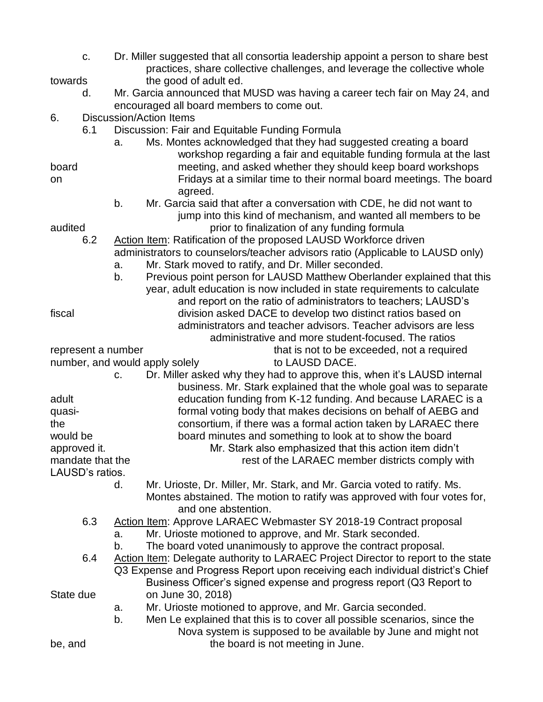- c. Dr. Miller suggested that all consortia leadership appoint a person to share best practices, share collective challenges, and leverage the collective whole towards the good of adult ed.
	- d. Mr. Garcia announced that MUSD was having a career tech fair on May 24, and encouraged all board members to come out.
- 6. Discussion/Action Items
	- 6.1 Discussion: Fair and Equitable Funding Formula
- a. Ms. Montes acknowledged that they had suggested creating a board workshop regarding a fair and equitable funding formula at the last board meeting, and asked whether they should keep board workshops
- on Fridays at a similar time to their normal board meetings. The board agreed.
- b. Mr. Garcia said that after a conversation with CDE, he did not want to jump into this kind of mechanism, and wanted all members to be audited prior to finalization of any funding formula

- 6.2 Action Item: Ratification of the proposed LAUSD Workforce driven administrators to counselors/teacher advisors ratio (Applicable to LAUSD only)
	- a. Mr. Stark moved to ratify, and Dr. Miller seconded.
- b. Previous point person for LAUSD Matthew Oberlander explained that this year, adult education is now included in state requirements to calculate and report on the ratio of administrators to teachers; LAUSD's fiscal division asked DACE to develop two distinct ratios based on administrators and teacher advisors. Teacher advisors are less administrative and more student-focused. The ratios

represent a number that is not to be exceeded, not a required

number, and would apply solely to LAUSD DACE.

business. Mr. Stark explained that the whole goal was to separate

c. Dr. Miller asked why they had to approve this, when it's LAUSD internal adult education funding from K-12 funding. And because LARAEC is a quasi- formal voting body that makes decisions on behalf of AEBG and

the consortium, if there was a formal action taken by LARAEC there would be board minutes and something to look at to show the board approved it. Mr. Stark also emphasized that this action item didn't mandate that the rest of the LARAEC member districts comply with

LAUSD's ratios.

d. Mr. Urioste, Dr. Miller, Mr. Stark, and Mr. Garcia voted to ratify. Ms. Montes abstained. The motion to ratify was approved with four votes for, and one abstention.

- 6.3 Action Item: Approve LARAEC Webmaster SY 2018-19 Contract proposal a. Mr. Urioste motioned to approve, and Mr. Stark seconded.
	- b. The board voted unanimously to approve the contract proposal.
- 6.4 Action Item: Delegate authority to LARAEC Project Director to report to the state Q3 Expense and Progress Report upon receiving each individual district's Chief Business Officer's signed expense and progress report (Q3 Report to

State due on June 30, 2018)

- a. Mr. Urioste motioned to approve, and Mr. Garcia seconded.
- b. Men Le explained that this is to cover all possible scenarios, since the Nova system is supposed to be available by June and might not be, and the board is not meeting in June.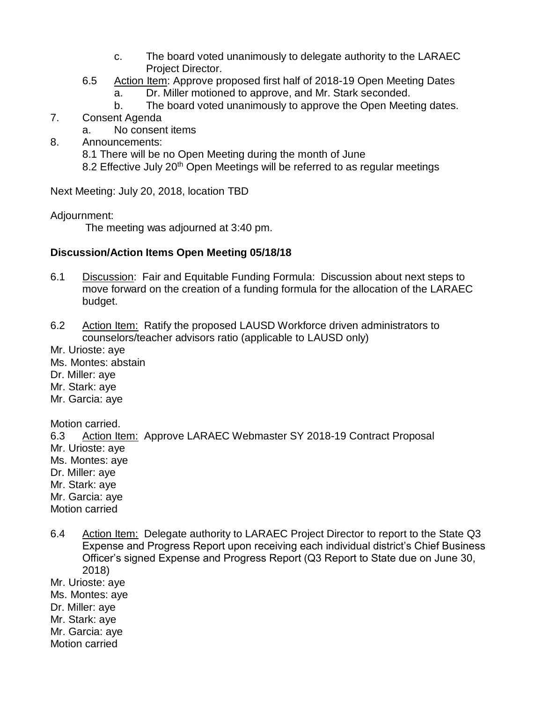- c. The board voted unanimously to delegate authority to the LARAEC Project Director.
- 6.5 Action Item: Approve proposed first half of 2018-19 Open Meeting Dates
	- a. Dr. Miller motioned to approve, and Mr. Stark seconded.
	- b. The board voted unanimously to approve the Open Meeting dates.
- 7. Consent Agenda
	- a. No consent items
- 8. Announcements:
	- 8.1 There will be no Open Meeting during the month of June
	- 8.2 Effective July 20<sup>th</sup> Open Meetings will be referred to as regular meetings

Next Meeting: July 20, 2018, location TBD

Adjournment:

The meeting was adjourned at 3:40 pm.

## **Discussion/Action Items Open Meeting 05/18/18**

- 6.1 Discussion: Fair and Equitable Funding Formula: Discussion about next steps to move forward on the creation of a funding formula for the allocation of the LARAEC budget.
- 6.2 Action Item: Ratify the proposed LAUSD Workforce driven administrators to counselors/teacher advisors ratio (applicable to LAUSD only)

Mr. Urioste: aye Ms. Montes: abstain Dr. Miller: aye Mr. Stark: aye Mr. Garcia: aye

Motion carried. 6.3 Action Item: Approve LARAEC Webmaster SY 2018-19 Contract Proposal Mr. Urioste: aye Ms. Montes: aye Dr. Miller: aye Mr. Stark: aye Mr. Garcia: aye Motion carried

6.4 Action Item: Delegate authority to LARAEC Project Director to report to the State Q3 Expense and Progress Report upon receiving each individual district's Chief Business Officer's signed Expense and Progress Report (Q3 Report to State due on June 30, 2018) Mr. Urioste: aye Ms. Montes: aye Dr. Miller: aye Mr. Stark: aye Mr. Garcia: aye

Motion carried